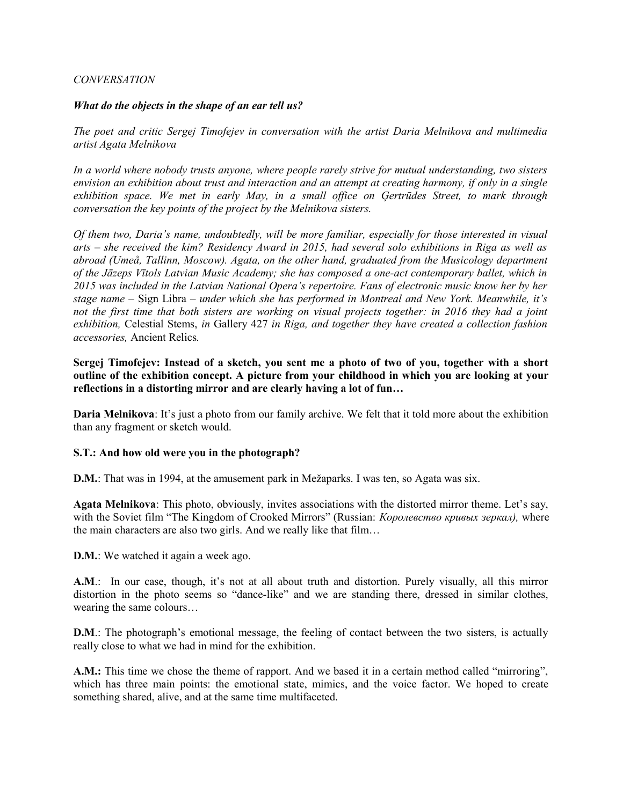#### *CONVERSATION*

#### *What do the objects in the shape of an ear tell us?*

*The poet and critic Sergej Timofejev in conversation with the artist Daria Melnikova and multimedia artist Agata Melnikova*

*In a world where nobody trusts anyone, where people rarely strive for mutual understanding, two sisters envision an exhibition about trust and interaction and an attempt at creating harmony, if only in a single exhibition space. We met in early May, in a small office on Ģertrūdes Street, to mark through conversation the key points of the project by the Melnikova sisters.*

*Of them two, Daria's name, undoubtedly, will be more familiar, especially for those interested in visual arts – she received the kim? Residency Award in 2015, had several solo exhibitions in Riga as well as abroad (Umeå, Tallinn, Moscow). Agata, on the other hand, graduated from the Musicology department of the Jāzeps Vītols Latvian Music Academy; she has composed a one-act contemporary ballet, which in 2015 was included in the Latvian National Opera's repertoire. Fans of electronic music know her by her stage name –* Sign Libra *– under which she has performed in Montreal and New York. Meanwhile, it's not the first time that both sisters are working on visual projects together: in 2016 they had a joint exhibition,* Celestial Stems, *in* Gallery 427 *in Riga, and together they have created a collection fashion accessories,* Ancient Relics*.*

**Sergej Timofejev: Instead of a sketch, you sent me a photo of two of you, together with a short outline of the exhibition concept. A picture from your childhood in which you are looking at your reflections in a distorting mirror and are clearly having a lot of fun…**

**Daria Melnikova**: It's just a photo from our family archive. We felt that it told more about the exhibition than any fragment or sketch would.

#### **S.T.: And how old were you in the photograph?**

**D.M.**: That was in 1994, at the amusement park in Mežaparks. I was ten, so Agata was six.

**Agata Melnikova**: This photo, obviously, invites associations with the distorted mirror theme. Let's say, with the Soviet film "The Kingdom of Crooked Mirrors" (Russian: *Королевство кривых зеркал),* where the main characters are also two girls. And we really like that film…

**D.M.**: We watched it again a week ago.

**A.M**.: In our case, though, it's not at all about truth and distortion. Purely visually, all this mirror distortion in the photo seems so "dance-like" and we are standing there, dressed in similar clothes, wearing the same colours…

**D.M**.: The photograph's emotional message, the feeling of contact between the two sisters, is actually really close to what we had in mind for the exhibition.

**A.M.:** This time we chose the theme of rapport. And we based it in a certain method called "mirroring", which has three main points: the emotional state, mimics, and the voice factor. We hoped to create something shared, alive, and at the same time multifaceted.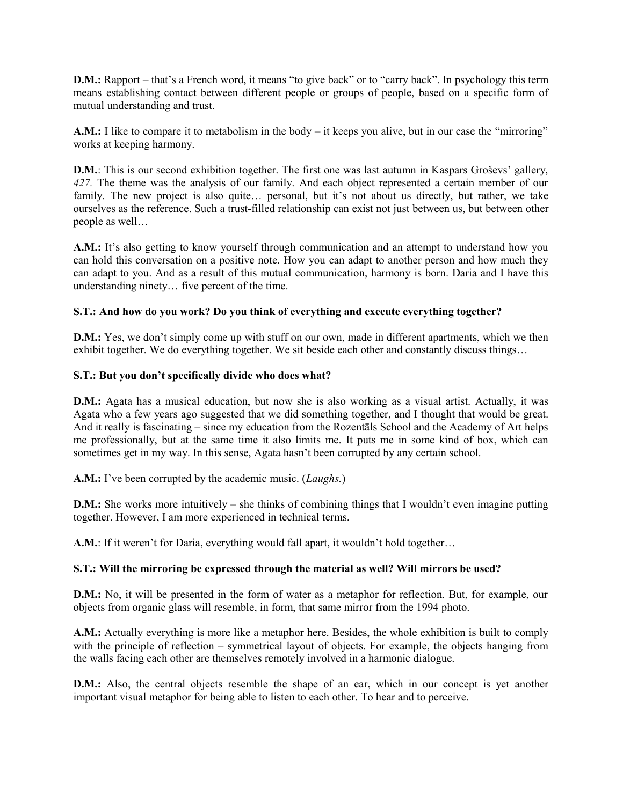**D.M.:** Rapport – that's a French word, it means "to give back" or to "carry back". In psychology this term means establishing contact between different people or groups of people, based on a specific form of mutual understanding and trust.

**A.M.:** I like to compare it to metabolism in the body – it keeps you alive, but in our case the "mirroring" works at keeping harmony.

**D.M.**: This is our second exhibition together. The first one was last autumn in Kaspars Groševs' gallery, *427.* The theme was the analysis of our family. And each object represented a certain member of our family. The new project is also quite... personal, but it's not about us directly, but rather, we take ourselves as the reference. Such a trust-filled relationship can exist not just between us, but between other people as well…

**A.M.:** It's also getting to know yourself through communication and an attempt to understand how you can hold this conversation on a positive note. How you can adapt to another person and how much they can adapt to you. And as a result of this mutual communication, harmony is born. Daria and I have this understanding ninety… five percent of the time.

# **S.T.: And how do you work? Do you think of everything and execute everything together?**

**D.M.:** Yes, we don't simply come up with stuff on our own, made in different apartments, which we then exhibit together. We do everything together. We sit beside each other and constantly discuss things…

## **S.T.: But you don't specifically divide who does what?**

**D.M.:** Agata has a musical education, but now she is also working as a visual artist. Actually, it was Agata who a few years ago suggested that we did something together, and I thought that would be great. And it really is fascinating – since my education from the Rozentāls School and the Academy of Art helps me professionally, but at the same time it also limits me. It puts me in some kind of box, which can sometimes get in my way. In this sense, Agata hasn't been corrupted by any certain school.

**A.M.:** I've been corrupted by the academic music. (*Laughs.*)

**D.M.:** She works more intuitively – she thinks of combining things that I wouldn't even imagine putting together. However, I am more experienced in technical terms.

**A.M.**: If it weren't for Daria, everything would fall apart, it wouldn't hold together…

## **S.T.: Will the mirroring be expressed through the material as well? Will mirrors be used?**

**D.M.:** No, it will be presented in the form of water as a metaphor for reflection. But, for example, our objects from organic glass will resemble, in form, that same mirror from the 1994 photo.

**A.M.:** Actually everything is more like a metaphor here. Besides, the whole exhibition is built to comply with the principle of reflection – symmetrical layout of objects. For example, the objects hanging from the walls facing each other are themselves remotely involved in a harmonic dialogue.

**D.M.:** Also, the central objects resemble the shape of an ear, which in our concept is yet another important visual metaphor for being able to listen to each other. To hear and to perceive.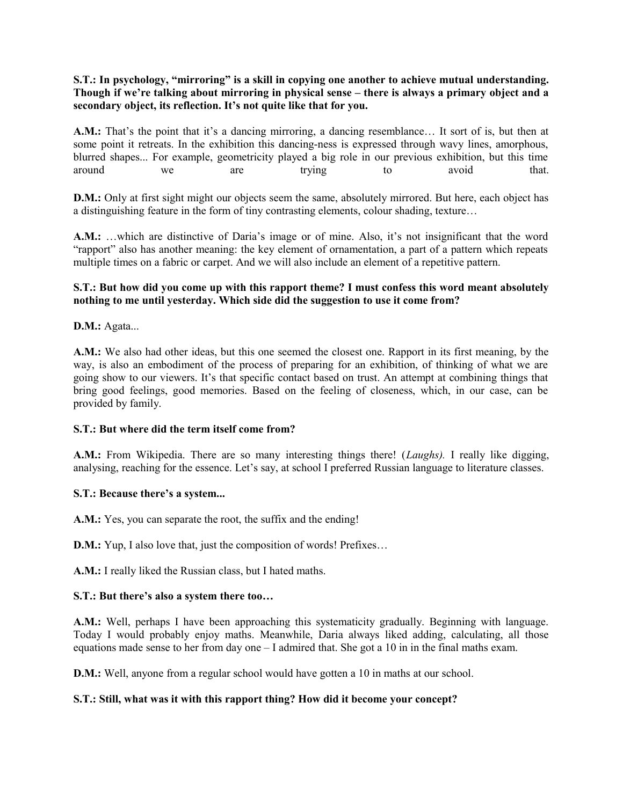# **S.T.: In psychology, "mirroring" is a skill in copying one another to achieve mutual understanding. Though if we're talking about mirroring in physical sense – there is always a primary object and a secondary object, its reflection. It's not quite like that for you.**

**A.M.:** That's the point that it's a dancing mirroring, a dancing resemblance… It sort of is, but then at some point it retreats. In the exhibition this dancing-ness is expressed through wavy lines, amorphous, blurred shapes... For example, geometricity played a big role in our previous exhibition, but this time around we are trying to avoid that.

**D.M.:** Only at first sight might our objects seem the same, absolutely mirrored. But here, each object has a distinguishing feature in the form of tiny contrasting elements, colour shading, texture…

**A.M.:** …which are distinctive of Daria's image or of mine. Also, it's not insignificant that the word "rapport" also has another meaning: the key element of ornamentation, a part of a pattern which repeats multiple times on a fabric or carpet. And we will also include an element of a repetitive pattern.

# **S.T.: But how did you come up with this rapport theme? I must confess this word meant absolutely nothing to me until yesterday. Which side did the suggestion to use it come from?**

**D.M.:** Agata...

**A.M.:** We also had other ideas, but this one seemed the closest one. Rapport in its first meaning, by the way, is also an embodiment of the process of preparing for an exhibition, of thinking of what we are going show to our viewers. It's that specific contact based on trust. An attempt at combining things that bring good feelings, good memories. Based on the feeling of closeness, which, in our case, can be provided by family.

## **S.T.: But where did the term itself come from?**

**A.M.:** From Wikipedia. There are so many interesting things there! (*Laughs).* I really like digging, analysing, reaching for the essence. Let's say, at school I preferred Russian language to literature classes.

## **S.T.: Because there's a system...**

**A.M.:** Yes, you can separate the root, the suffix and the ending!

**D.M.:** Yup, I also love that, just the composition of words! Prefixes...

**A.M.:** I really liked the Russian class, but I hated maths.

## **S.T.: But there's also a system there too…**

**A.M.:** Well, perhaps I have been approaching this systematicity gradually. Beginning with language. Today I would probably enjoy maths. Meanwhile, Daria always liked adding, calculating, all those equations made sense to her from day one – I admired that. She got a 10 in in the final maths exam.

**D.M.:** Well, anyone from a regular school would have gotten a 10 in maths at our school.

## **S.T.: Still, what was it with this rapport thing? How did it become your concept?**